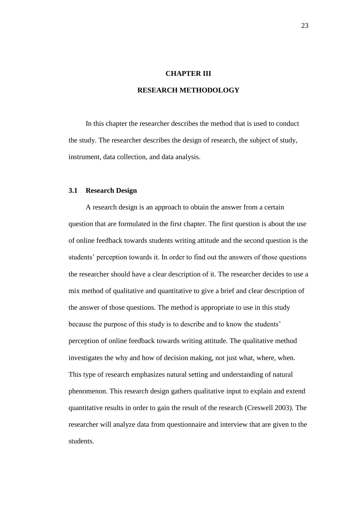#### **CHAPTER III**

# **RESEARCH METHODOLOGY**

In this chapter the researcher describes the method that is used to conduct the study. The researcher describes the design of research, the subject of study, instrument, data collection, and data analysis.

### **3.1 Research Design**

A research design is an approach to obtain the answer from a certain question that are formulated in the first chapter. The first question is about the use of online feedback towards students writing attitude and the second question is the students' perception towards it. In order to find out the answers of those questions the researcher should have a clear description of it. The researcher decides to use a mix method of qualitative and quantitative to give a brief and clear description of the answer of those questions. The method is appropriate to use in this study because the purpose of this study is to describe and to know the students' perception of online feedback towards writing attitude. The qualitative method investigates the why and how of decision making, not just what, where, when. This type of research emphasizes natural setting and understanding of natural phenomenon. This research design gathers qualitative input to explain and extend quantitative results in order to gain the result of the research (Creswell 2003). The researcher will analyze data from questionnaire and interview that are given to the students.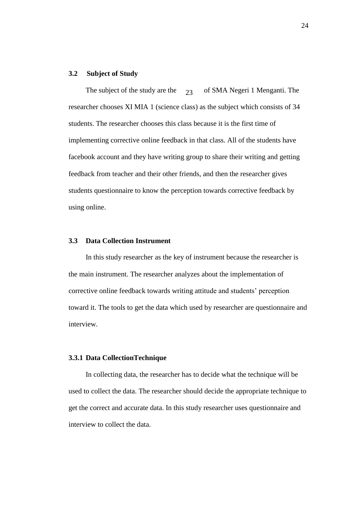#### **3.2 Subject of Study**

The subject of the study are the  $\gamma_3$  of SMA Negeri 1 Menganti. The researcher chooses XI MIA 1 (science class) as the subject which consists of 34 students. The researcher chooses this class because it is the first time of implementing corrective online feedback in that class. All of the students have facebook account and they have writing group to share their writing and getting feedback from teacher and their other friends, and then the researcher gives students questionnaire to know the perception towards corrective feedback by using online.  $23$ 

### **3.3 Data Collection Instrument**

In this study researcher as the key of instrument because the researcher is the main instrument. The researcher analyzes about the implementation of corrective online feedback towards writing attitude and students' perception toward it. The tools to get the data which used by researcher are questionnaire and interview.

### **3.3.1 Data CollectionTechnique**

In collecting data, the researcher has to decide what the technique will be used to collect the data. The researcher should decide the appropriate technique to get the correct and accurate data. In this study researcher uses questionnaire and interview to collect the data.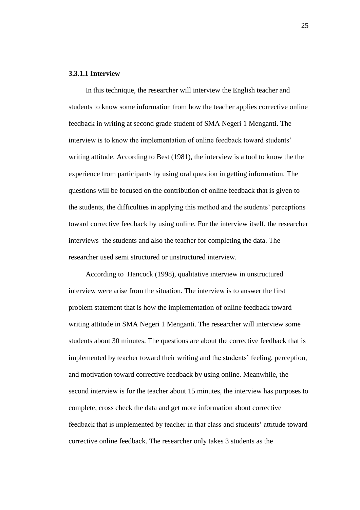#### **3.3.1.1 Interview**

In this technique, the researcher will interview the English teacher and students to know some information from how the teacher applies corrective online feedback in writing at second grade student of SMA Negeri 1 Menganti. The interview is to know the implementation of online feedback toward students' writing attitude. According to Best (1981), the interview is a tool to know the the experience from participants by using oral question in getting information. The questions will be focused on the contribution of online feedback that is given to the students, the difficulties in applying this method and the students' perceptions toward corrective feedback by using online. For the interview itself, the researcher interviews the students and also the teacher for completing the data. The researcher used semi structured or unstructured interview.

According to Hancock (1998), qualitative interview in unstructured interview were arise from the situation. The interview is to answer the first problem statement that is how the implementation of online feedback toward writing attitude in SMA Negeri 1 Menganti. The researcher will interview some students about 30 minutes. The questions are about the corrective feedback that is implemented by teacher toward their writing and the students' feeling, perception, and motivation toward corrective feedback by using online. Meanwhile, the second interview is for the teacher about 15 minutes, the interview has purposes to complete, cross check the data and get more information about corrective feedback that is implemented by teacher in that class and students' attitude toward corrective online feedback. The researcher only takes 3 students as the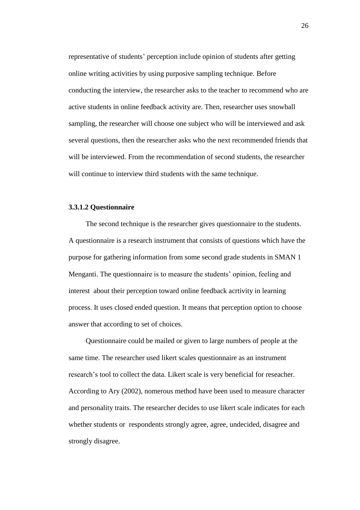representative of students' perception include opinion of students after getting online writing activities by using purposive sampling technique. Before conducting the interview, the researcher asks to the teacher to recommend who are active students in online feedback activity are. Then, researcher uses snowball sampling, the researcher will choose one subject who will be interviewed and ask several questions, then the researcher asks who the next recommended friends that will be interviewed. From the recommendation of second students, the researcher will continue to interview third students with the same technique.

### **3.3.1.2 Questionnaire**

The second technique is the researcher gives questionnaire to the students. A questionnaire is a research instrument that consists of questions which have the purpose for gathering information from some second grade students in SMAN 1 Menganti. The questionnaire is to measure the students' opinion, feeling and interest about their perception toward online feedback acrtivity in learning process. It uses closed ended question. It means that perception option to choose answer that according to set of choices.

Questionnaire could be mailed or given to large numbers of people at the same time. The researcher used likert scales questionnaire as an instrument research's tool to collect the data. Likert scale is very beneficial for reseacher. According to Ary (2002), nomerous method have been used to measure character and personality traits. The researcher decides to use likert scale indicates for each whether students or respondents strongly agree, agree, undecided, disagree and strongly disagree.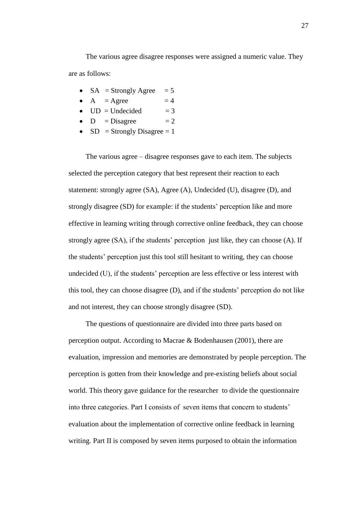The various agree disagree responses were assigned a numeric value. They are as follows:

- $SA =$ Strongly Agree  $= 5$
- $A = \text{Agree}$  = 4
- $UD = Undecided = 3$
- $D = Disagree = 2$
- $SD =$  Strongly Disagree = 1

The various agree – disagree responses gave to each item. The subjects selected the perception category that best represent their reaction to each statement: strongly agree (SA), Agree (A), Undecided (U), disagree (D), and strongly disagree (SD) for example: if the students' perception like and more effective in learning writing through corrective online feedback, they can choose strongly agree (SA), if the students' perception just like, they can choose (A). If the students' perception just this tool still hesitant to writing, they can choose undecided (U), if the students' perception are less effective or less interest with this tool, they can choose disagree (D), and if the students' perception do not like and not interest, they can choose strongly disagree (SD).

The questions of questionnaire are divided into three parts based on perception output. According to Macrae & Bodenhausen (2001), there are evaluation, impression and memories are demonstrated by people perception. The perception is gotten from their knowledge and pre-existing beliefs about social world. This theory gave guidance for the researcher to divide the questionnaire into three categories. Part I consists of seven items that concern to students' evaluation about the implementation of corrective online feedback in learning writing. Part II is composed by seven items purposed to obtain the information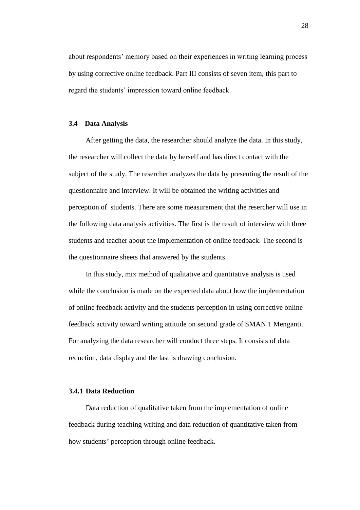about respondents' memory based on their experiences in writing learning process by using corrective online feedback. Part III consists of seven item, this part to regard the students' impression toward online feedback.

### **3.4 Data Analysis**

After getting the data, the researcher should analyze the data. In this study, the researcher will collect the data by herself and has direct contact with the subject of the study. The resercher analyzes the data by presenting the result of the questionnaire and interview. It will be obtained the writing activities and perception of students. There are some measurement that the resercher will use in the following data analysis activities. The first is the result of interview with three students and teacher about the implementation of online feedback. The second is the questionnaire sheets that answered by the students.

In this study, mix method of qualitative and quantitative analysis is used while the conclusion is made on the expected data about how the implementation of online feedback activity and the students perception in using corrective online feedback activity toward writing attitude on second grade of SMAN 1 Menganti. For analyzing the data researcher will conduct three steps. It consists of data reduction, data display and the last is drawing conclusion.

### **3.4.1 Data Reduction**

Data reduction of qualitative taken from the implementation of online feedback during teaching writing and data reduction of quantitative taken from how students' perception through online feedback.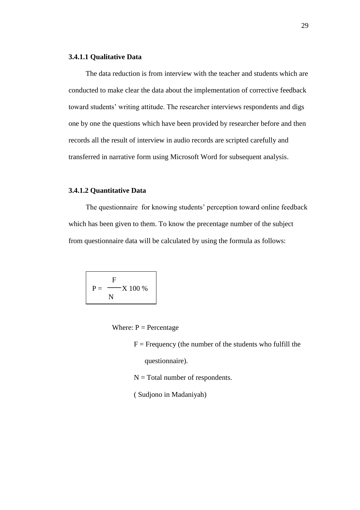# **3.4.1.1 Qualitative Data**

The data reduction is from interview with the teacher and students which are conducted to make clear the data about the implementation of corrective feedback toward students' writing attitude. The researcher interviews respondents and digs one by one the questions which have been provided by researcher before and then records all the result of interview in audio records are scripted carefully and transferred in narrative form using Microsoft Word for subsequent analysis.

# **3.4.1.2 Quantitative Data**

The questionnaire for knowing students' perception toward online feedback which has been given to them. To know the precentage number of the subject from questionnaire data will be calculated by using the formula as follows:

$$
P = \frac{F}{N} \times 100\%
$$

Where:  $P =$  Percentage

 $F = F$  Frequency (the number of the students who fulfill the questionnaire).

 $N = Total number of respondents.$ 

( Sudjono in Madaniyah)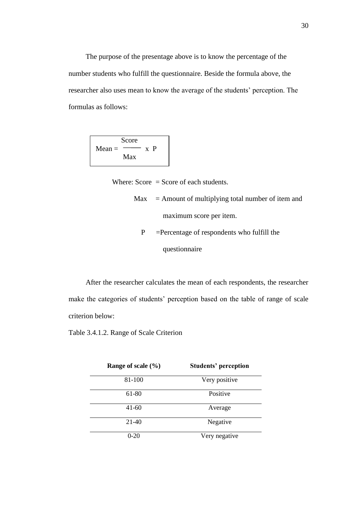The purpose of the presentage above is to know the percentage of the number students who fulfill the questionnaire. Beside the formula above, the researcher also uses mean to know the average of the students' perception. The formulas as follows:

|          | Score |              |   |
|----------|-------|--------------|---|
| $Mean =$ |       | $\mathbf{x}$ | P |
|          | Max   |              |   |
|          |       |              |   |

Where:  $Score = Score$  of each students.

- $Max =$  Amount of multiplying total number of item and maximum score per item.
	- P =Percentage of respondents who fulfill the questionnaire

After the researcher calculates the mean of each respondents, the researcher make the categories of students' perception based on the table of range of scale criterion below:

Table 3.4.1.2. Range of Scale Criterion

| Range of scale $(\% )$ | <b>Students' perception</b> |  |
|------------------------|-----------------------------|--|
| 81-100                 | Very positive               |  |
| 61-80                  | Positive                    |  |
| $41-60$                | Average                     |  |
| 21-40                  | Negative                    |  |
| $0 - 20$               | Very negative               |  |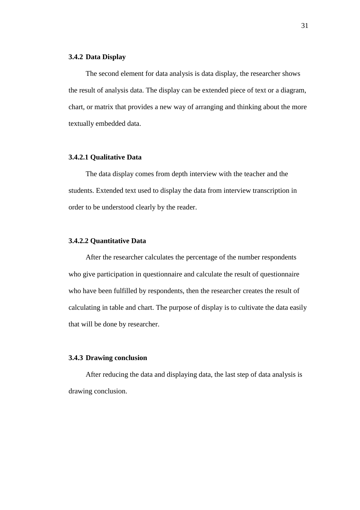# **3.4.2 Data Display**

The second element for data analysis is data display, the researcher shows the result of analysis data. The display can be extended piece of text or a diagram, chart, or matrix that provides a new way of arranging and thinking about the more textually embedded data.

# **3.4.2.1 Qualitative Data**

The data display comes from depth interview with the teacher and the students. Extended text used to display the data from interview transcription in order to be understood clearly by the reader.

### **3.4.2.2 Quantitative Data**

After the researcher calculates the percentage of the number respondents who give participation in questionnaire and calculate the result of questionnaire who have been fulfilled by respondents, then the researcher creates the result of calculating in table and chart. The purpose of display is to cultivate the data easily that will be done by researcher.

### **3.4.3 Drawing conclusion**

After reducing the data and displaying data, the last step of data analysis is drawing conclusion.